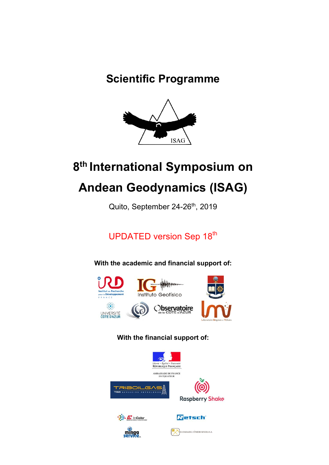# **Scientific Programme**



# **8th International Symposium on**

# **Andean Geodynamics (ISAG)**

Quito, September 24-26<sup>th</sup>, 2019

UPDATED version Sep 18<sup>th</sup>

**With the academic and financial support of:**



# **With the financial support of:**

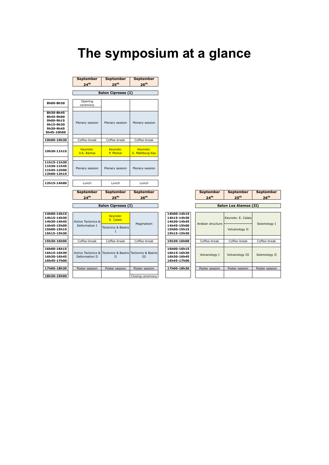# **The symposium at a glance**

**September** 

**26th 24th 25th Salon Cipreses (I) 8h00-8h30** Opening ceremony **8h30-8h45 8h45-9h00 9h00-9h15** Plenary session Plenary sessionPlenary session **9h15-9h30 9h30-9h45 9h45-10h00** 10h00-10h30 Coffee-break Coffee-break Coffee-break Keynote:<br>V.A. Ramos Keynote: P. Molnar Keynote: S. Mahlburg Kay 10h30-11h15 **11h15-11h30 11h30-11h45** Plenary session | Plenary session | Plenary session **11h45-12h00 12h00-12h15 12h15-14h00** Lunch Lunch Lunch **September September September 24th 25th 26th Salon Cipreses (I)** Г **14h00-14h15 14h00-14h15** Keynote: **14h15-14h30 14h15-14h30** Active Tectonics & **E. Calais 14h30-14h45 14h30-14h45 14h45-15h00 14h45-15h00** Deformation I

**September** 

**September** 

|                                                          | <b>September</b><br>24 <sup>th</sup> | <b>September</b><br>25 <sup>th</sup>                                    | <b>September</b><br>26 <sup>th</sup> |                                                          | <b>September</b><br>24 <sup>th</sup> | <b>September</b><br>25 <sup>th</sup> | <b>September</b><br>26 <sup>th</sup> |
|----------------------------------------------------------|--------------------------------------|-------------------------------------------------------------------------|--------------------------------------|----------------------------------------------------------|--------------------------------------|--------------------------------------|--------------------------------------|
|                                                          |                                      | Salon Cipreses (I)                                                      |                                      |                                                          |                                      | <b>Salon Los Alamos (II)</b>         |                                      |
| 14h00-14h15<br>14h15-14h30<br>14h30-14h45                | Active Tectonics &                   | Keynote:<br>E. Calais                                                   | Magmatism                            | 14h00-14h15<br>14h15-14h30<br>14h30-14h45                | Andean structure                     | Keynote: E. Calais                   | Seismology I                         |
| 14h45-15h00<br>15h00-15h15<br>15h15-15h30                | Deformation I                        | <b>Tectonics &amp; Basins</b>                                           |                                      | 14h45-15h00<br>15h00-15h15<br>15h15-15h30                |                                      | Volcanology II                       |                                      |
| 15h30-16h00                                              | Coffee-break                         | Coffee-break                                                            | Coffee-break                         | 15h30-16h00                                              | Coffee-break                         | Coffee-break                         | Coffee-break                         |
| 16h00-16h15<br>16h15-16h30<br>16h30-16h45<br>16h45-17h00 | Deformation II                       | Active Tectonics & Tectonics & Basins Tectonics & Basins<br>$_{\rm II}$ | III                                  | 16h00-16h15<br>16h15-16h30<br>16h30-16h45<br>16h45-17h00 | Volcanology I                        | Volcanology III                      | Seismology II                        |
| 17h00-18h30                                              | Poster session                       | Poster session                                                          | Poster session                       | 17h00-18h30                                              | Poster session                       | Poster session                       | Poster session                       |
| 18h30-19h00                                              |                                      |                                                                         | Closing ceremony                     |                                                          |                                      |                                      |                                      |

| 14h00-14h15<br>14h15-14h30<br>14h30-14h45                | <b>Active Tectonics &amp;</b><br>Deformation I | Keynote:<br>E. Calais                                                   | Magmatism                          | 14h00-14h15<br>14h15-14h30<br>14h30-14h45                |
|----------------------------------------------------------|------------------------------------------------|-------------------------------------------------------------------------|------------------------------------|----------------------------------------------------------|
| 14h45-15h00<br>15h00-15h15<br>15h15-15h30                |                                                | Tectonics & Basins                                                      |                                    | 14h45-15h00<br>15h00-15h15<br>15h15-15h30                |
| 15h30-16h00                                              | Coffee-break                                   | Coffee-break                                                            | Coffee-break                       | 15h30-16h00                                              |
| 16h00-16h15<br>16h15-16h30<br>16h30-16h45<br>16h45-17h00 | Deformation II                                 | Active Tectonics & Tectonics & Basins Tectonics & Basins<br>$_{\rm II}$ | <b>III</b>                         | 16h00-16h15<br>16h15-16h30<br>16h30-16h45<br>16h45-17h00 |
| 17h00-18h30<br>18h30-19h00                               | Poster session                                 | Poster session                                                          | Poster session<br>Closing ceremony | 17h00-18h30                                              |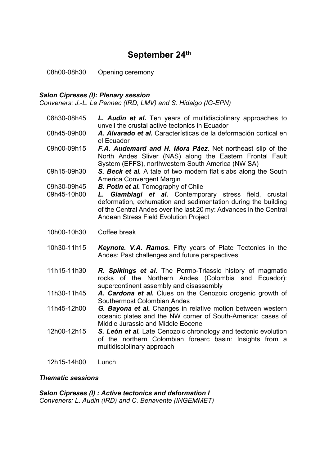## **September 24th**

08h00-08h30 Opening ceremony

#### *Salon Cipreses (I): Plenary session*

*Conveners: J.-L. Le Pennec (IRD, LMV) and S. Hidalgo (IG-EPN)*

- 08h30-08h45 *L. Audin et al.* Ten years of multidisciplinary approaches to unveil the crustal active tectonics in Ecuador
- 08h45-09h00 *A. Alvarado et al.* Características de la deformación cortical en el Ecuador
- 09h00-09h15 *F.A. Audemard and H. Mora Páez.* Net northeast slip of the North Andes Sliver (NAS) along the Eastern Frontal Fault System (EFFS), northwestern South America (NW SA)
- 09h15-09h30 *S. Beck et al.* A tale of two modern flat slabs along the South America Convergent Margin
- 09h30-09h45 *B. Potin et al.* Tomography of Chile
- 09h45-10h00 *L. Giambiagi et al.* Contemporary stress field, crustal deformation, exhumation and sedimentation during the building of the Central Andes over the last 20 my: Advances in the Central Andean Stress Field Evolution Project
- 10h00-10h30 Coffee break
- 10h30-11h15 *Keynote. V.A. Ramos.* Fifty years of Plate Tectonics in the Andes: Past challenges and future perspectives
- 11h15-11h30 *R. Spikings et al.* The Permo-Triassic history of magmatic rocks of the Northern Andes (Colombia and Ecuador): supercontinent assembly and disassembly
- 11h30-11h45 *A. Cardona et al.* Clues on the Cenozoic orogenic growth of Southermost Colombian Andes
- 11h45-12h00 *G. Bayona et al.* Changes in relative motion between western oceanic plates and the NW corner of South-America: cases of Middle Jurassic and Middle Eocene
- 12h00-12h15 *S. León et al.* Late Cenozoic chronology and tectonic evolution of the northern Colombian forearc basin: Insights from a multidisciplinary approach
- 12h15-14h00 Lunch

#### *Thematic sessions*

*Salon Cipreses (I) : Active tectonics and deformation I Conveners: L. Audin (IRD) and C. Benavente (INGEMMET)*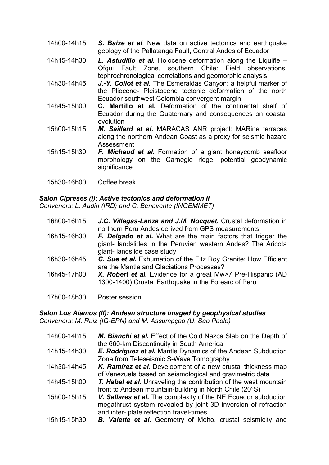- 14h00-14h15 *S. Baize et al*. New data on active tectonics and earthquake geology of the Pallatanga Fault, Central Andes of Ecuador
- 14h15-14h30 *L. Astudillo et al.* Holocene deformation along the Liquiñe Ofqui Fault Zone, southern Chile: Field observations, tephrochronological correlations and geomorphic analysis
- 14h30-14h45 *J.-Y. Collot et al.* The Esmeraldas Canyon: a helpful marker of the Pliocene- Pleistocene tectonic deformation of the north Ecuador southwest Colombia convergent margin
- 14h45-15h00 **C. Martillo et al.** Deformation of the continental shelf of Ecuador during the Quaternary and consequences on coastal evolution
- 15h00-15h15 *M. Saillard et al.* MARACAS ANR project: MARine terraces along the northern Andean Coast as a proxy for seismic hazard Assessment
- 15h15-15h30 *F. Michaud et al.* Formation of a giant honeycomb seafloor morphology on the Carnegie ridge: potential geodynamic significance
- 15h30-16h00 Coffee break

#### *Salon Cipreses (I): Active tectonics and deformation II*

*Conveners: L. Audin (IRD) and C. Benavente (INGEMMET)*

| 16h00-16h15 | J.C. Villegas-Lanza and J.M. Nocquet. Crustal deformation in<br>northern Peru Andes derived from GPS measurements                                          |
|-------------|------------------------------------------------------------------------------------------------------------------------------------------------------------|
| 16h15-16h30 | F. Delgado et al. What are the main factors that trigger the<br>giant- landslides in the Peruvian western Andes? The Aricota<br>giant-landslide case study |
| 16h30-16h45 | C. Sue et al. Exhumation of the Fitz Roy Granite: How Efficient<br>are the Mantle and Glaciations Processes?                                               |
| 16h45-17h00 | X. Robert et al. Evidence for a great Mw>7 Pre-Hispanic (AD<br>1300-1400) Crustal Earthquake in the Forearc of Peru                                        |
| 17h00-18h30 | Poster session                                                                                                                                             |

*Salon Los Alamos (II): Andean structure imaged by geophysical studies*

*Conveners: M. Ruiz (IG-EPN) and M. Assumpçao (U. Sao Paolo)*

| 14h00-14h15 | M. Bianchi et al. Effect of the Cold Nazca Slab on the Depth of<br>the 660-km Discontinuity in South America                                                                 |
|-------------|------------------------------------------------------------------------------------------------------------------------------------------------------------------------------|
| 14h15-14h30 | <b>E. Rodriguez et al.</b> Mantle Dynamics of the Andean Subduction<br>Zone from Teleseismic S-Wave Tomography                                                               |
| 14h30-14h45 | K. Ramírez et al. Development of a new crustal thickness map<br>of Venezuela based on seismological and gravimetric data                                                     |
| 14h45-15h00 | <b>T. Habel et al.</b> Unraveling the contribution of the west mountain<br>front to Andean mountain-building in North Chile (20°S)                                           |
| 15h00-15h15 | V. Sallares et al. The complexity of the NE Ecuador subduction<br>megathrust system revealed by joint 3D inversion of refraction<br>and inter- plate reflection travel-times |
| 15h15-15h30 | <b>B. Valette et al.</b> Geometry of Moho, crustal seismicity and                                                                                                            |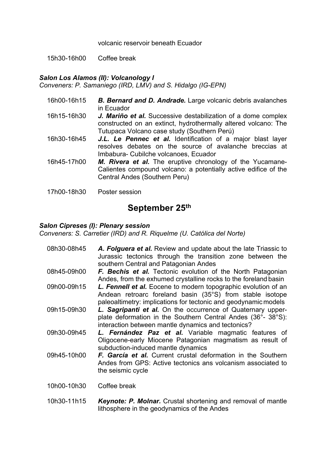volcanic reservoir beneath Ecuador

15h30-16h00 Coffee break

#### *Salon Los Alamos (II): Volcanology I*

*Conveners: P. Samaniego (IRD, LMV) and S. Hidalgo (IG-EPN)*

- 16h00-16h15 *B. Bernard and D. Andrade.* Large volcanic debris avalanches in Ecuador
- 16h15-16h30 *J. Mariño et al.* Successive destabilization of a dome complex constructed on an extinct, hydrothermally altered volcano: The Tutupaca Volcano case study (Southern Perú)
- 16h30-16h45 *J.L. Le Pennec et al.* Identification of a major blast layer resolves debates on the source of avalanche breccias at Imbabura- Cubilche volcanoes, Ecuador
- 16h45-17h00 *M. Rivera et al.* The eruptive chronology of the Yucamane-Calientes compound volcano: a potentially active edifice of the Central Andes (Southern Peru)
- 17h00-18h30 Poster session

### **September 25th**

#### *Salon Cipreses (I): Plenary session*

*Conveners: S. Carretier (IRD) and R. Riquelme (U. Católica del Norte)*

- 08h30-08h45 *A. Folguera et al.* Review and update about the late Triassic to Jurassic tectonics through the transition zone between the southern Central and Patagonian Andes 08h45-09h00 *F. Bechis et al.* Tectonic evolution of the North Patagonian Andes, from the exhumed crystalline rocks to the foreland basin 09h00-09h15 *L. Fennell et al.* Eocene to modern topographic evolution of an Andean retroarc foreland basin (35°S) from stable isotope paleoaltimetry: implications for tectonic and geodynamic models 09h15-09h30 *L. Sagripanti et al.* On the occurrence of Quaternary upperplate deformation in the Southern Central Andes (36°- 38°S): interaction between mantle dynamics and tectonics? 09h30-09h45 *L. Fernández Paz et al.* Variable magmatic features of Oligocene-early Miocene Patagonian magmatism as result of subduction-induced mantle dynamics 09h45-10h00 *F. García et al.* Current crustal deformation in the Southern Andes from GPS: Active tectonics ans volcanism associated to
- 10h00-10h30 Coffee break

the seismic cycle

10h30-11h15 *Keynote: P. Molnar.* Crustal shortening and removal of mantle lithosphere in the geodynamics of the Andes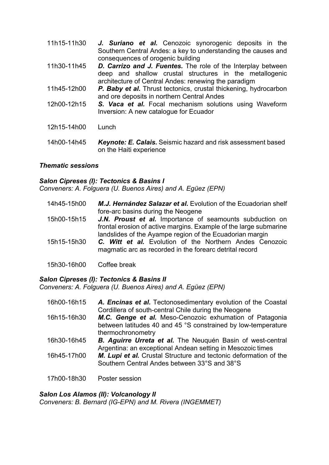- 11h15-11h30 *J. Suriano et al.* Cenozoic synorogenic deposits in the Southern Central Andes: a key to understanding the causes and consequences of orogenic building
- 11h30-11h45 *D. Carrizo and J. Fuentes.* The role of the Interplay between deep and shallow crustal structures in the metallogenic architecture of Central Andes: renewing the paradigm
- 11h45-12h00 *P. Baby et al.* Thrust tectonics, crustal thickening, hydrocarbon and ore deposits in northern Central Andes
- 12h00-12h15 *S. Vaca et al.* Focal mechanism solutions using Waveform Inversion: A new catalogue for Ecuador
- 12h15-14h00 Lunch
- 14h00-14h45 *Keynote: E. Calais.* Seismic hazard and risk assessment based on the Haiti experience

#### *Thematic sessions*

#### *Salon Cipreses (I): Tectonics & Basins I*

*Conveners: A. Folguera (U. Buenos Aires) and A. Egüez (EPN)*

| 14h45-15h00 | M.J. Hernández Salazar et al. Evolution of the Ecuadorian shelf<br>fore-arc basins during the Neogene                         |
|-------------|-------------------------------------------------------------------------------------------------------------------------------|
| 15h00-15h15 | J.N. Proust et al. Importance of seamounts subduction on<br>frontal erosion of active margins. Example of the large submarine |
| 15h15-15h30 | landslides of the Ayampe region of the Ecuadorian margin<br>C. Witt et al. Evolution of the Northern Andes Cenozoic           |
|             | magmatic arc as recorded in the forearc detrital record                                                                       |
|             |                                                                                                                               |

15h30-16h00 Coffee break

#### *Salon Cipreses (I): Tectonics & Basins II*

*Conveners: A. Folguera (U. Buenos Aires) and A. Egüez (EPN)*

| 16h00-16h15 | A. Encinas et al. Tectonosedimentary evolution of the Coastal<br>Cordillera of south-central Chile during the Neogene                         |
|-------------|-----------------------------------------------------------------------------------------------------------------------------------------------|
| 16h15-16h30 | M.C. Genge et al. Meso-Cenozoic exhumation of Patagonia<br>between latitudes 40 and 45 °S constrained by low-temperature<br>thermochronometry |
| 16h30-16h45 | <b>B. Aguirre Urreta et al.</b> The Neuquén Basin of west-central<br>Argentina: an exceptional Andean setting in Mesozoic times               |
| 16h45-17h00 | M. Lupi et al. Crustal Structure and tectonic deformation of the<br>Southern Central Andes between 33°S and 38°S                              |
| 17h00-18h30 | Poster session                                                                                                                                |

# *Salon Los Alamos (II): Volcanology II*

*Conveners: B. Bernard (IG-EPN) and M. Rivera (INGEMMET)*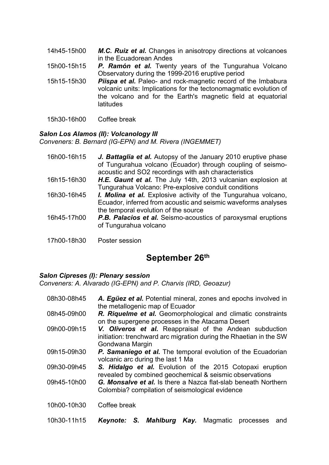- 14h45-15h00 *M.C. Ruiz et al.* Changes in anisotropy directions at volcanoes in the Ecuadorean Andes
- 15h00-15h15 *P. Ramón et al.* Twenty years of the Tungurahua Volcano Observatory during the 1999-2016 eruptive period
- 15h15-15h30 *Piispa et al.* Paleo- and rock-magnetic record of the Imbabura volcanic units: Implications for the tectonomagmatic evolution of the volcano and for the Earth's magnetic field at equatorial latitudes
- 15h30-16h00 Coffee break

#### *Salon Los Alamos (II): Volcanology III*

*Conveners: B. Bernard (IG-EPN) and M. Rivera (INGEMMET)*

| 16h00-16h15 | J. Battaglia et al. Autopsy of the January 2010 eruptive phase<br>of Tungurahua volcano (Ecuador) through coupling of seismo-<br>acoustic and SO2 recordings with ash characteristics |
|-------------|---------------------------------------------------------------------------------------------------------------------------------------------------------------------------------------|
| 16h15-16h30 | H.E. Gaunt et al. The July 14th, 2013 vulcanian explosion at<br>Tungurahua Volcano: Pre-explosive conduit conditions                                                                  |
| 16h30-16h45 | <b>I. Molina et al.</b> Explosive activity of the Tungurahua volcano,<br>Ecuador, inferred from acoustic and seismic waveforms analyses<br>the temporal evolution of the source       |
| 16h45-17h00 | <b>P.B. Palacios et al.</b> Seismo-acoustics of paroxysmal eruptions<br>of Tungurahua volcano                                                                                         |
| 17h00-18h30 | Poster session                                                                                                                                                                        |

# **September 26th**

#### *Salon Cipreses (I): Plenary session*

*Conveners: A. Alvarado (IG-EPN) and P. Charvis (IRD, Geoazur)*

08h30-08h45 *A. Egüez et al.* Potential mineral, zones and epochs involved in the metallogenic map of Ecuador 08h45-09h00 *R. Riquelme et al.* Geomorphological and climatic constraints on the supergene processes in the Atacama Desert 09h00-09h15 *V. Oliveros et al.* Reappraisal of the Andean subduction initiation: trenchward arc migration during the Rhaetian in the SW Gondwana Margin 09h15-09h30 *P. Samaniego et al.* The temporal evolution of the Ecuadorian volcanic arc during the last 1 Ma 09h30-09h45 *S. Hidalgo et al.* Evolution of the 2015 Cotopaxi eruption revealed by combined geochemical & seismic observations 09h45-10h00 *G. Monsalve et al.* Is there a Nazca flat-slab beneath Northern Colombia? compilation of seismological evidence 10h00-10h30 Coffee break 10h30-11h15 *Keynote: S. Mahlburg Kay.* Magmatic processes and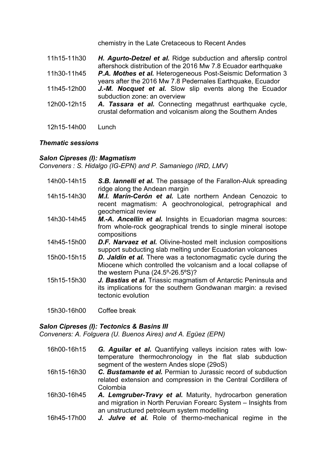chemistry in the Late Cretaceous to Recent Andes

| 11h15-11h30 | H. Agurto-Detzel et al. Ridge subduction and afterslip control<br>aftershock distribution of the 2016 Mw 7.8 Ecuador earthquake |
|-------------|---------------------------------------------------------------------------------------------------------------------------------|
| 11h30-11h45 | P.A. Mothes et al. Heterogeneous Post-Seismic Deformation 3<br>years after the 2016 Mw 7.8 Pedernales Earthquake, Ecuador       |
| 11h45-12h00 | J.-M. Nocquet et al. Slow slip events along the Ecuador<br>subduction zone: an overview                                         |
| 12h00-12h15 | A. Tassara et al. Connecting megathrust earthquake cycle,<br>crustal deformation and volcanism along the Southern Andes         |
| 12h15-14h00 | Lunch.                                                                                                                          |

#### *Thematic sessions*

#### *Salon Cipreses (I): Magmatism*

*Conveners : S. Hidalgo (IG-EPN) and P. Samaniego (IRD, LMV)*

| 14h00-14h15 | S.B. lannelli et al. The passage of the Farallon-Aluk spreading<br>ridge along the Andean margin                                                                              |
|-------------|-------------------------------------------------------------------------------------------------------------------------------------------------------------------------------|
| 14h15-14h30 | M.I. Marín-Cerón et al. Late northern Andean Cenozoic to<br>recent magmatism: A geochronological, petrographical and<br>geochemical review                                    |
| 14h30-14h45 | <b>M.-A. Ancellin et al.</b> Insights in Ecuadorian magma sources:<br>from whole-rock geographical trends to single mineral isotope<br>compositions                           |
| 14h45-15h00 | <b>D.F. Narvaez et al.</b> Olivine-hosted melt inclusion compositions<br>support subducting slab melting under Ecuadorian volcanoes                                           |
| 15h00-15h15 | D. Jaldín et al. There was a tectonomagmatic cycle during the<br>Miocene which controlled the volcanism and a local collapse of<br>the western Puna $(24.5^{\circ}$ -26.5°S)? |
| 15h15-15h30 | J. Bastias et al. Triassic magmatism of Antarctic Peninsula and<br>its implications for the southern Gondwanan margin: a revised<br>tectonic evolution                        |

15h30-16h00 Coffee break

#### *Salon Cipreses (I): Tectonics & Basins III*

*Conveners: A. Folguera (U. Buenos Aires) and A. Egüez (EPN)*

- 16h00-16h15 *G. Aguilar et al.* Quantifying valleys incision rates with lowtemperature thermochronology in the flat slab subduction segment of the western Andes slope (29oS)
- 16h15-16h30 *C. Bustamante et al.* Permian to Jurassic record of subduction related extension and compression in the Central Cordillera of Colombia
- 16h30-16h45 *A. Lemgruber-Travy et al.* Maturity, hydrocarbon generation and migration in North Peruvian Forearc System – Insights from an unstructured petroleum system modelling
- 16h45-17h00 *J. Julve et al.* Role of thermo-mechanical regime in the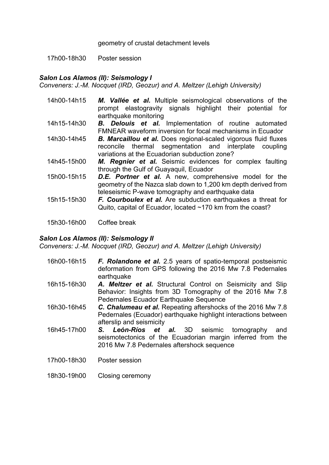geometry of crustal detachment levels

17h00-18h30 Poster session

#### *Salon Los Alamos (II): Seismology I*

*Conveners: J.-M. Nocquet (IRD, Geozur) and A. Meltzer (Lehigh University)*

| 14h00-14h15 | M. Vallée et al. Multiple seismological observations of the<br>prompt elastogravity signals highlight their potential for<br>earthquake monitoring                                   |
|-------------|--------------------------------------------------------------------------------------------------------------------------------------------------------------------------------------|
| 14h15-14h30 | <b>B. Delouis et al.</b> Implementation of routine automated<br>FMNEAR waveform inversion for focal mechanisms in Ecuador                                                            |
| 14h30-14h45 | <b>B. Marcaillou et al.</b> Does regional-scaled vigorous fluid fluxes<br>reconcile thermal segmentation and interplate coupling<br>variations at the Ecuadorian subduction zone?    |
| 14h45-15h00 | M. Regnier et al. Seismic evidences for complex faulting<br>through the Gulf of Guayaquil, Ecuador                                                                                   |
| 15h00-15h15 | <b>D.E. Portner et al.</b> A new, comprehensive model for the<br>geometry of the Nazca slab down to 1,200 km depth derived from<br>teleseismic P-wave tomography and earthquake data |
| 15h15-15h30 | F. Courboulex et al. Are subduction earthquakes a threat for<br>Quito, capital of Ecuador, located ~170 km from the coast?                                                           |
|             |                                                                                                                                                                                      |

15h30-16h00 Coffee break

#### *Salon Los Alamos (II): Seismology II*

*Conveners: J.-M. Nocquet (IRD, Geozur) and A. Meltzer (Lehigh University)*

- 16h00-16h15 *F. Rolandone et al.* 2.5 years of spatio-temporal postseismic deformation from GPS following the 2016 Mw 7.8 Pedernales earthquake
- 16h15-16h30 *A. Meltzer et al.* Structural Control on Seismicity and Slip Behavior: Insights from 3D Tomography of the 2016 Mw 7.8 Pedernales Ecuador Earthquake Sequence
- 16h30-16h45 *C. Chalumeau et al.* Repeating aftershocks of the 2016 Mw 7.8 Pedernales (Ecuador) earthquake highlight interactions between afterslip and seismicity
- 16h45-17h00 *S. León-Ríos et al.* 3D seismic tomography and seismotectonics of the Ecuadorian margin inferred from the 2016 Mw 7.8 Pedernales aftershock sequence
- 17h00-18h30 Poster session
- 18h30-19h00 Closing ceremony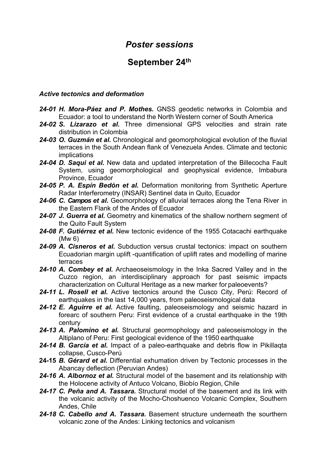# *Poster sessions*

# **September 24th**

#### *Active tectonics and deformation*

- *24-01 H. Mora-Páez and P. Mothes.* GNSS geodetic networks in Colombia and Ecuador: a tool to understand the North Western corner of South America
- *24-02 S. Lizarazo et al.* Three dimensional GPS velocities and strain rate distribution in Colombia
- *24-03 O. Guzmán et al.* Chronological and geomorphological evolution of the fluvial terraces in the South Andean flank of Venezuela Andes. Climate and tectonic implications
- *24-04 D. Saqui et al.* New data and updated interpretation of the Billecocha Fault System, using geomorphological and geophysical evidence, Imbabura Province, Ecuador
- *24-05 P. A. Espín Bedón et al.* Deformation monitoring from Synthetic Aperture Radar Interferometry (INSAR) Sentinel data in Quito, Ecuador
- *24-06 C. Campos et al.* Geomorphology of alluvial terraces along the Tena River in the Eastern Flank of the Andes of Ecuador
- *24-07 J. Guerra et al.* Geometry and kinematics of the shallow northern segment of the Quito Fault System
- *24-08 F. Gutiérrez et al.* New tectonic evidence of the 1955 Cotacachi earthquake (Mw 6)
- *24-09 A. Cisneros et al.* Subduction versus crustal tectonics: impact on southern Ecuadorian margin uplift -quantification of uplift rates and modelling of marine terraces
- *24-10 A. Combey et al.* Archaeoseismology in the Inka Sacred Valley and in the Cuzco region, an interdisciplinary approach for past seismic impacts characterization on Cultural Heritage as a new marker for paleoevents?
- *24-11 L. Rosell et al.* Active tectonics around the Cusco City, Perú: Record of earthquakes in the last 14,000 years, from paleoseismological data
- *24-12 E. Aguirre et al.* Active faulting, paleoseismology and seismic hazard in forearc of southern Peru: First evidence of a crustal earthquake in the 19th century
- *24-13 A. Palomino et al.* Structural geormophology and paleoseismology in the Altiplano of Peru: First geological evidence of the 1950 earthquake
- *24-14 B. García et al.* Impact of a paleo-earthquake and debris flow in Pikillaqta collapse, Cusco-Perú
- **24-15** *B. Gérard et al.* Differential exhumation driven by Tectonic processes in the Abancay deflection (Peruvian Andes)
- *24-16 A. Albornoz et al.* Structural model of the basement and its relationship with the Holocene activity of Antuco Volcano, Biobío Region, Chile
- *24-17 C. Peña and A. Tassara.* Structural model of the basement and its link with the volcanic activity of the Mocho-Choshuenco Volcanic Complex, Southern Andes, Chile
- *24-18 C. Cabello and A. Tassara.* Basement structure underneath the sourthern volcanic zone of the Andes: Linking tectonics and volcanism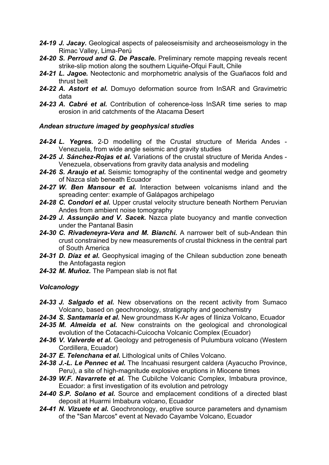- *24-19 J. Jacay.* Geological aspects of paleoseismisity and archeoseismology in the Rimac Valley, Lima-Perú
- *24-20 S. Perroud and G. De Pascale.* Preliminary remote mapping reveals recent strike-slip motion along the southern Liquiñe-Ofqui Fault, Chile
- *24-21 L. Jagoe.* Neotectonic and morphometric analysis of the Guañacos fold and thrust belt
- *24-22 A. Astort et al.* Domuyo deformation source from InSAR and Gravimetric data
- *24-23 A. Cabré et al.* Contribution of coherence-loss InSAR time series to map erosion in arid catchments of the Atacama Desert

#### *Andean structure imaged by geophysical studies*

- *24-24 L. Yegres.* 2-D modelling of the Crustal structure of Merida Andes Venezuela, from wide angle seismic and gravity studies
- *24-25 J. Sánchez-Rojas et al.* Variations of the crustal structure of Merida Andes Venezuela, observations from gravity data analysis and modeling
- *24-26 S. Araujo et al.* Seismic tomography of the continental wedge and geometry of Nazca slab beneath Ecuador
- *24-27 W. Ben Mansour et al.* Interaction between volcanisms inland and the spreading center: example of Galápagos archipelago
- 24-28 C. Condori et al. Upper crustal velocity structure beneath Northern Peruvian Andes from ambient noise tomography
- *24-29 J. Assunção and V. Sacek.* Nazca plate buoyancy and mantle convection under the Pantanal Basin
- *24-30 C. Rivadeneyra-Vera and M. Bianchi.* A narrower belt of sub-Andean thin crust constrained by new measurements of crustal thickness in the central part of South America
- *24-31 D. Díaz et al.* Geophysical imaging of the Chilean subduction zone beneath the Antofagasta region
- *24-32 M. Muñoz.* The Pampean slab is not flat

#### *Volcanology*

- *24-33 J. Salgado et al.* New observations on the recent activity from Sumaco Volcano, based on geochronology, stratigraphy and geochemistry
- *24-34 S. Santamaria et al.* New groundmass K-Ar ages of Iliniza Volcano, Ecuador
- *24-35 M. Almeida et al.* New constraints on the geological and chronological evolution of the Cotacachi-Cuicocha Volcanic Complex (Ecuador)
- *24-36 V. Valverde et al.* Geology and petrogenesis of Pulumbura volcano (Western Cordillera, Ecuador)
- *24-37 E. Telenchana et al.* Lithological units of Chiles Volcano.
- *24-38 J.-L. Le Pennec et al.* The Incahuasi resurgent caldera (Ayacucho Province, Peru), a site of high-magnitude explosive eruptions in Miocene times
- *24-39 W.F. Navarrete et al.* The Cubilche Volcanic Complex, Imbabura province, Ecuador: a first investigation of its evolution and petrology
- *24-40 S.P. Solano et al.* Source and emplacement conditions of a directed blast deposit at Huarmi Imbabura volcano, Ecuador
- *24-41 N. Vizuete et al.* Geochronology, eruptive source parameters and dynamism of the "San Marcos" event at Nevado Cayambe Volcano, Ecuador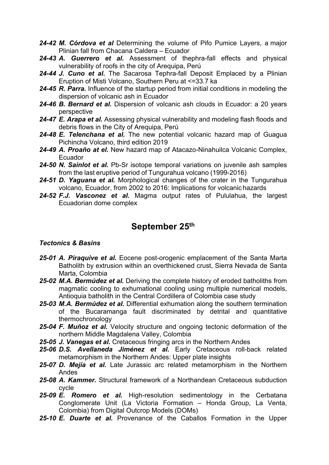- *24-42 M. Córdova et al* Determining the volume of Pifo Pumice Layers, a major Plinian fall from Chacana Caldera – Ecuador
- *24-43 A. Guerrero et al.* Assessment of thephra-fall effects and physical vulnerability of roofs in the city of Arequipa, Perú
- *24-44 J. Cuno et al.* The Sacarosa Tephra-fall Deposit Emplaced by a Plinian Eruption of Misti Volcano, Southern Peru at <=33.7 ka
- *24-45 R. Parra.* Influence of the startup period from initial conditions in modeling the dispersion of volcanic ash in Ecuador
- *24-46 B. Bernard et al.* Dispersion of volcanic ash clouds in Ecuador: a 20 years perspective
- *24-47 E. Arapa et al.* Assessing physical vulnerability and modeling flash floods and debris flows in the City of Arequipa, Perú
- *24-48 E. Telenchana et al.* The new potential volcanic hazard map of Guagua Pichincha Volcano, third edition 2019
- *24-49 A. Proaño at el.* New hazard map of Atacazo-Ninahuilca Volcanic Complex, Ecuador
- *24-50 N. Sainlot et al.* Pb-Sr isotope temporal variations on juvenile ash samples from the last eruptive period of Tungurahua volcano (1999-2016)
- *24-51 D. Yaguana et al.* Morphological changes of the crater in the Tungurahua volcano, Ecuador, from 2002 to 2016: Implications for volcanic hazards
- *24-52 F.J. Vasconez et al.* Magma output rates of Pululahua, the largest Ecuadorian dome complex

## **September 25th**

#### *Tectonics & Basins*

- *25-01 A. Piraquive et al.* Eocene post-orogenic emplacement of the Santa Marta Batholith by extrusion within an overthickened crust, Sierra Nevada de Santa Marta, Colombia
- *25-02 M.A. Bermúdez et al.* Deriving the complete history of eroded batholiths from magmatic cooling to exhumational cooling using multiple numerical models, Antioquia batholith in the Central Cordillera of Colombia case study
- *25-03 M.A. Bermúdez et al.* Differential exhumation along the southern termination of the Bucaramanga fault discriminated by detrital and quantitative thermochronology
- *25-04 F. Muñoz et al.* Velocity structure and ongoing tectonic deformation of the northern Middle Magdalena Valley, Colombia
- *25-05 J. Vanegas et al.* Cretaceous fringing arcs in the Northern Andes
- *25-06 D.S. Avellaneda Jiménez et al.* Early Cretaceous roll-back related metamorphism in the Northern Andes: Upper plate insights
- *25-07 D. Mejía et al.* Late Jurassic arc related metamorphism in the Northern Andes
- *25-08 A. Kammer.* Structural framework of a Northandean Cretaceous subduction cycle
- *25-09 E. Romero et al.* High-resolution sedimentology in the Cerbatana Conglomerate Unit (La Victoria Formation – Honda Group, La Venta, Colombia) from Digital Outcrop Models (DOMs)
- *25-10 E. Duarte et al.* Provenance of the Caballos Formation in the Upper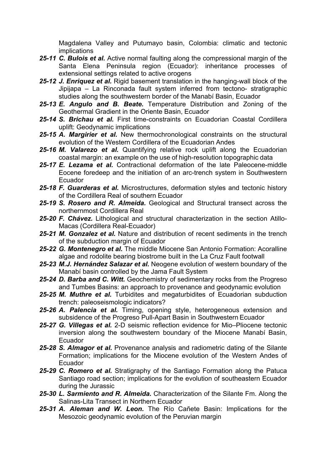Magdalena Valley and Putumayo basin, Colombia: climatic and tectonic implications

- *25-11 C. Bulois et al.* Active normal faulting along the compressional margin of the Santa Elena Peninsula region (Ecuador): inheritance processes of extensional settings related to active orogens
- *25-12 J. Enriquez et al.* Rigid basement translation in the hanging-wall block of the Jipijapa – La Rinconada fault system inferred from tectono- stratigraphic studies along the southwestern border of the Manabí Basin, Ecuador
- *25-13 E. Angulo and B. Beate.* Temperature Distribution and Zoning of the Geothermal Gradient in the Oriente Basin, Ecuador
- *25-14 S. Brichau et al.* First time-constraints on Ecuadorian Coastal Cordillera uplift: Geodynamic implications
- *25-15 A. Margirier et al.* New thermochronological constraints on the structural evolution of the Western Cordillera of the Ecuadorian Andes
- *25-16 M. Valarezo et al.* Quantifying relative rock uplift along the Ecuadorian coastal margin: an example on the use of high-resolution topographic data
- *25-17 E. Lezama et al.* Contractional deformation of the late Paleocene-middle Eocene foredeep and the initiation of an arc-trench system in Southwestern Ecuador
- *25-18 F. Guarderas et al.* Microstructures, deformation styles and tectonic history of the Cordillera Real of southern Ecuador
- *25-19 S. Rosero and R. Almeida.* Geological and Structural transect across the northernmost Cordillera Real
- *25-20 F. Chávez.* Lithological and structural characterization in the section Atillo-Macas (Cordillera Real-Ecuador)
- *25-21 M. Gonzalez et al.* Nature and distribution of recent sediments in the trench of the subduction margin of Ecuador
- *25-22 G. Montenegro et al.* The middle Miocene San Antonio Formation: Acoralline algae and rodolite bearing biostrome built in the La Cruz Fault footwall
- *25-23 M.J. Hernández Salazar et al.* Neogene evolution of western boundary of the Manabí basin controlled by the Jama Fault System
- *25-24 D. Barba and C. Witt.* Geochemistry of sedimentary rocks from the Progreso and Tumbes Basins: an approach to provenance and geodynamic evolution
- *25-25 M. Muthre et al.* Turbidites and megaturbidites of Ecuadorian subduction trench: paleoseismologic indicators?
- *25-26 A. Palencia et al.* Timing, opening style, heterogeneous extension and subsidence of the Progreso Pull-Apart Basin in Southwestern Ecuador
- *25-27 G. Villegas et al.* 2-D seismic reflection evidence for Mio–Pliocene tectonic inversion along the southwestern boundary of the Miocene Manabí Basin, Ecuador
- *25-28 S. Almagor et al.* Provenance analysis and radiometric dating of the Silante Formation; implications for the Miocene evolution of the Western Andes of Ecuador
- *25-29 C. Romero et al.* Stratigraphy of the Santiago Formation along the Patuca Santiago road section; implications for the evolution of southeastern Ecuador during the Jurassic
- *25-30 L. Sarmiento and R. Almeida.* Characterization of the Silante Fm. Along the Salinas-Lita Transect in Northern Ecuador
- *25-31 A. Aleman and W. Leon.* The Río Cañete Basin: Implications for the Mesozoic geodynamic evolution of the Peruvian margin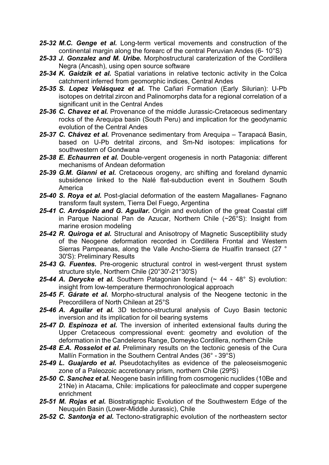- *25-32 M.C. Genge et al.* Long-term vertical movements and construction of the continental margin along the forearc of the central Peruvian Andes (6- 10°S)
- *25-33 J. Gonzalez and M. Uribe.* Morphostructural caraterization of the Cordillera Negra (Ancash), using open source software
- *25-34 K. Gaidzik et al.* Spatial variations in relative tectonic activity in the Colca catchment inferred from geomorphic indices, Central Andes
- *25-35 S. Lopez Velásquez et al.* The Cañari Formation (Early Silurian): U-Pb isotopes on detrital zircon and Palinomorphs data for a regional correlation of a significant unit in the Central Andes
- *25-36 C. Chavez et al.* Provenance of the middle Jurassic-Cretaceous sedimentary rocks of the Arequipa basin (South Peru) and implication for the geodynamic evolution of the Central Andes
- *25-37 C. Chávez et al.* Provenance sedimentary from Arequipa Tarapacá Basin, based on U-Pb detrital zircons, and Sm-Nd isotopes: implications for southwestern of Gondwana
- *25-38 E. Echaurren et al.* Double-vergent orogenesis in north Patagonia: different mechanisms of Andean deformation
- *25-39 G.M. Gianni et al.* Cretaceous orogeny, arc shifting and foreland dynamic subsidence linked to the Nalé flat-subduction event in Southern South America
- 25-40 S. Roya et al. Post-glacial deformation of the eastern Magallanes- Fagnano transform fault system, Tierra Del Fuego, Argentina
- *25-41 C. Arróspide and G. Aguilar.* Origin and evolution of the great Coastal cliff in Parque Nacional Pan de Azucar, Northern Chile (~26°S): Insight from marine erosion modeling
- *25-42 R. Quiroga et al.* Structural and Anisotropy of Magnetic Susceptibility study of the Neogene deformation recorded in Cordillera Frontal and Western Sierras Pampeanas, along the Valle Ancho-Sierra de Hualfín transect (27 ° 30'S): Preliminary Results
- *25-43 G. Fuentes.* Pre-orogenic structural control in west-vergent thrust system structure style, Northern Chile (20°30'-21°30'S)
- *25-44 A. Derycke et al.* Southern Patagonian foreland (~ 44 48° S) evolution: insight from low-temperature thermochronological approach
- *25-45 F. Gárate et al.* Morpho-structural analysis of the Neogene tectonic in the Precordillera of North Chilean at 25°S
- *25-46 A. Aguilar et al.* 3D tectono-structural analysis of Cuyo Basin tectonic inversion and its implication for oil bearing systems
- *25-47 D. Espinoza et al.* The inversion of inherited extensional faults during the Upper Cretaceous compressional event: geometry and evolution of the deformation in the Candeleros Range, Domeyko Cordillera, northern Chile
- *25-48 E.A. Rosselot et al.* Preliminary results on the tectonic genesis of the Cura Mallín Formation in the Southern Central Andes (36° - 39°S)
- *25-49 L. Guajardo et al.* Pseudotachylites as evidence of the paleoseismogenic zone of a Paleozoic accretionary prism, northern Chile (29ºS)
- *25-50 C. Sanchez et al.* Neogene basin infilling from cosmogenic nuclides (10Be and 21Ne) in Atacama, Chile: implications for paleoclimate and copper supergene enrichment
- *25-51 M. Rojas et al.* Biostratigraphic Evolution of the Southwestern Edge of the Neuquén Basin (Lower-Middle Jurassic), Chile
- *25-52 C. Santonja et al.* Tectono-stratigraphic evolution of the northeastern sector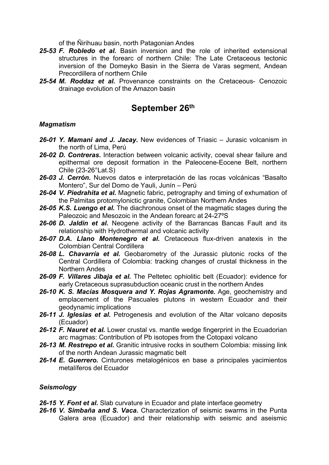of the Ñirihuau basin, north Patagonian Andes

- *25-53 F. Robledo et al.* Basin inversion and the role of inherited extensional structures in the forearc of northern Chile: The Late Cretaceous tectonic inversion of the Domeyko Basin in the Sierra de Varas segment, Andean Precordillera of northern Chile
- *25-54 M. Roddaz et al.* Provenance constraints on the Cretaceous- Cenozoic drainage evolution of the Amazon basin

### **September 26th**

#### *Magmatism*

- *26-01 Y. Mamani and J. Jacay.* New evidences of Triasic Jurasic volcanism in the north of Lima, Perú
- *26-02 D. Contreras.* Interaction between volcanic activity, coeval shear failure and epithermal ore deposit formation in the Paleocene-Eocene Belt, northern Chile (23-26°Lat.S)
- *26-03 J. Cerrón.* Nuevos datos e interpretación de las rocas volcánicas "Basalto Montero", Sur del Domo de Yauli, Junín – Perú
- *26-04 V. Piedrahita et al.* Magnetic fabric, petrography and timing of exhumation of the Palmitas protomylonictic granite, Colombian Northern Andes
- *26-05 K.S. Luengo et al.* The diachronous onset of the magmatic stages during the Paleozoic and Mesozoic in the Andean forearc at 24-27ºS
- *26-06 D. Jaldin et al.* Neogene activity of the Barrancas Bancas Fault and its relationship with Hydrothermal and volcanic activity
- *26-07 D.A. Llano Montenegro et al.* Cretaceous flux-driven anatexis in the Colombian Central Cordillera
- *26-08 L. Chavarría et al.* Geobarometry of the Jurassic plutonic rocks of the Central Cordillera of Colombia: tracking changes of crustal thickness in the Northern Andes
- *26-09 F. Villares Jibaja et al.* The Peltetec ophiolitic belt (Ecuador): evidence for early Cretaceous suprasubduction oceanic crust in the northern Andes
- *26-10 K. S. Macías Mosquera and Y. Rojas Agramonte.* Age, geochemistry and emplacement of the Pascuales plutons in western Ecuador and their geodynamic implications
- *26-11 J. Iglesias et al.* Petrogenesis and evolution of the Altar volcano deposits (Ecuador)
- 26-12 F. Nauret et al. Lower crustal vs. mantle wedge fingerprint in the Ecuadorian arc magmas: Contribution of Pb isotopes from the Cotopaxi volcano
- *26-13 M. Restrepo et al.* Granitic intrusive rocks in southern Colombia: missing link of the north Andean Jurassic magmatic belt
- *26-14 E. Guerrero.* Cinturones metalogénicos en base a principales yacimientos metalíferos del Ecuador

#### *Seismology*

*26-15 Y. Font et al.* Slab curvature in Ecuador and plate interface geometry

*26-16 V. Simbaña and S. Vaca.* Characterization of seismic swarms in the Punta Galera area (Ecuador) and their relationship with seismic and aseismic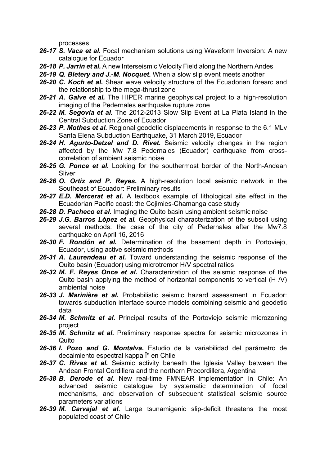processes

- *26-17 S. Vaca et al.* Focal mechanism solutions using Waveform Inversion: A new catalogue for Ecuador
- *26-18 P. Jarrin et al.* A new Interseismic Velocity Field along the Northern Andes
- *26-19 Q. Bletery and J.-M. Nocquet.* When a slow slip event meets another
- *26-20 C. Koch et al.* Shear wave velocity structure of the Ecuadorian forearc and the relationship to the mega-thrust zone
- *26-21 A. Galve et al.* The HIPER marine geophysical project to a high-resolution imaging of the Pedernales earthquake rupture zone
- *26-22 M. Segovia et al.* The 2012-2013 Slow Slip Event at La Plata Island in the Central Subduction Zone of Ecuador
- *26-23 P. Mothes et al.* Regional geodetic displacements in response to the 6.1 MLv Santa Elena Subduction Earthquake, 31 March 2019, Ecuador
- *26-24 H. Agurto-Detzel and D. Rivet.* Seismic velocity changes in the region affected by the Mw 7.8 Pedernales (Ecuador) earthquake from crosscorrelation of ambient seismic noise
- *26-25 G. Ponce et al.* Looking for the southermost border of the North-Andean Sliver
- *26-26 O. Ortiz and P. Reyes.* A high-resolution local seismic network in the Southeast of Ecuador: Preliminary results
- *26-27 E.D. Mercerat et al.* A textbook example of lithological site effect in the Ecuadorian Pacific coast: the Cojimies-Chamanga case study
- *26-28 D. Pacheco et al.* Imaging the Quito basin using ambient seismic noise
- *26-29 J.G. Barros López et al.* Geophysical characterization of the subsoil using several methods: the case of the city of Pedernales after the Mw7.8 earthquake on April 16, 2016
- *26-30 F. Rondón et al.* Determination of the basement depth in Portoviejo, Ecuador, using active seismic methods
- *26-31 A. Laurendeau et al.* Toward understanding the seismic response of the Quito basin (Ecuador) using microtremor H/V spectral ratios
- *26-32 M. F. Reyes Once et al.* Characterization of the seismic response of the Quito basin applying the method of horizontal components to vertical (H /V) ambiental noise
- *26-33 J. Marinière et al.* Probabilistic seismic hazard assessment in Ecuador: towards subduction interface source models combining seismic and geodetic data
- *26-34 M. Schmitz et al.* Principal results of the Portoviejo seismic microzoning project
- *26-35 M. Schmitz et al.* Preliminary response spectra for seismic microzones in **Quito**
- *26-36 I. Pozo and G. Montalva.* Estudio de la variabilidad del parámetro de decaimiento espectral kappa l<sup>o</sup> en Chile
- *26-37 C. Rivas et al.* Seismic activity beneath the Iglesia Valley between the Andean Frontal Cordillera and the northern Precordillera, Argentina
- *26-38 B. Derode et al.* New real-time FMNEAR implementation in Chile: An advanced seismic catalogue by systematic determination of focal mechanisms, and observation of subsequent statistical seismic source parameters variations
- *26-39 M. Carvajal et al.* Large tsunamigenic slip-deficit threatens the most populated coast of Chile